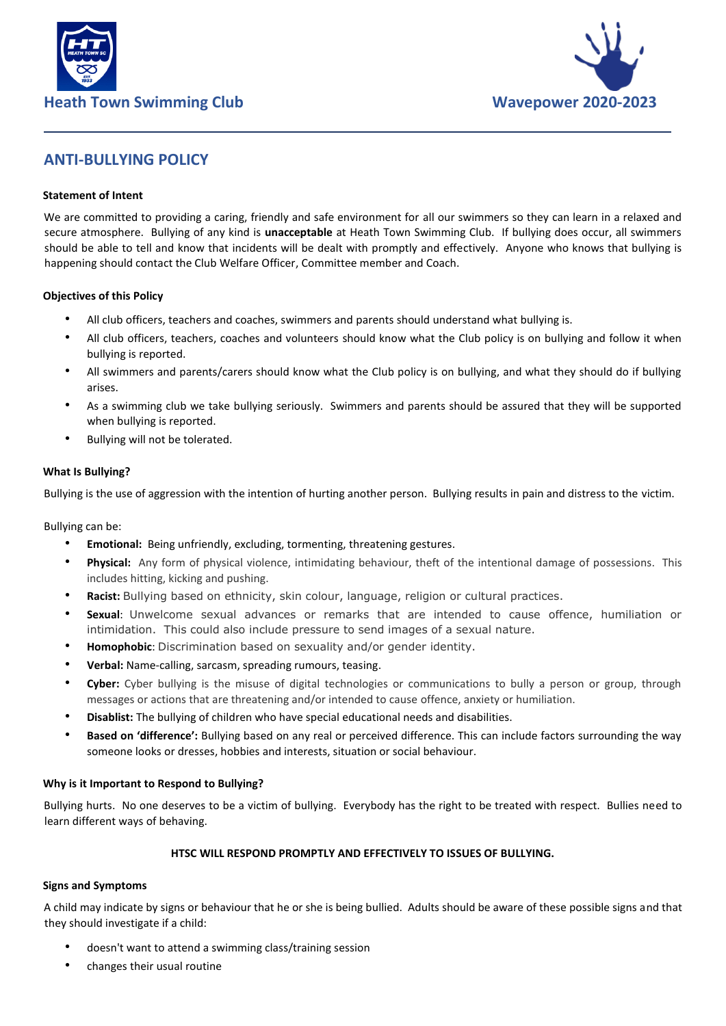



# **ANTI-BULLYING POLICY**

## **Statement of Intent**

We are committed to providing a caring, friendly and safe environment for all our swimmers so they can learn in a relaxed and secure atmosphere. Bullying of any kind is **unacceptable** at Heath Town Swimming Club. If bullying does occur, all swimmers should be able to tell and know that incidents will be dealt with promptly and effectively. Anyone who knows that bullying is happening should contact the Club Welfare Officer, Committee member and Coach.

#### **Objectives of this Policy**

- All club officers, teachers and coaches, swimmers and parents should understand what bullying is.
- All club officers, teachers, coaches and volunteers should know what the Club policy is on bullying and follow it when bullying is reported.
- All swimmers and parents/carers should know what the Club policy is on bullying, and what they should do if bullying arises.
- As a swimming club we take bullying seriously. Swimmers and parents should be assured that they will be supported when bullying is reported.
- Bullying will not be tolerated.

## **What Is Bullying?**

Bullying is the use of aggression with the intention of hurting another person. Bullying results in pain and distress to the victim.

Bullying can be:

- **Emotional:** Being unfriendly, excluding, tormenting, threatening gestures.
- **Physical:** Any form of physical violence, intimidating behaviour, theft of the intentional damage of possessions. This includes hitting, kicking and pushing.
- **Racist:** Bullying based on ethnicity, skin colour, language, religion or cultural practices.
- **Sexual**: Unwelcome sexual advances or remarks that are intended to cause offence, humiliation or intimidation. This could also include pressure to send images of a sexual nature.
- **Homophobic**: Discrimination based on sexuality and/or gender identity.
- **Verbal:** Name-calling, sarcasm, spreading rumours, teasing.
- **Cyber:** Cyber bullying is the misuse of digital technologies or communications to bully a person or group, through messages or actions that are threatening and/or intended to cause offence, anxiety or humiliation.
- **Disablist:** The bullying of children who have special educational needs and disabilities.
- **Based on 'difference':** Bullying based on any real or perceived difference. This can include factors surrounding the way someone looks or dresses, hobbies and interests, situation or social behaviour.

## **Why is it Important to Respond to Bullying?**

Bullying hurts. No one deserves to be a victim of bullying. Everybody has the right to be treated with respect. Bullies need to learn different ways of behaving.

## **HTSC WILL RESPOND PROMPTLY AND EFFECTIVELY TO ISSUES OF BULLYING.**

## **Signs and Symptoms**

A child may indicate by signs or behaviour that he or she is being bullied. Adults should be aware of these possible signs and that they should investigate if a child:

- doesn't want to attend a swimming class/training session
- changes their usual routine